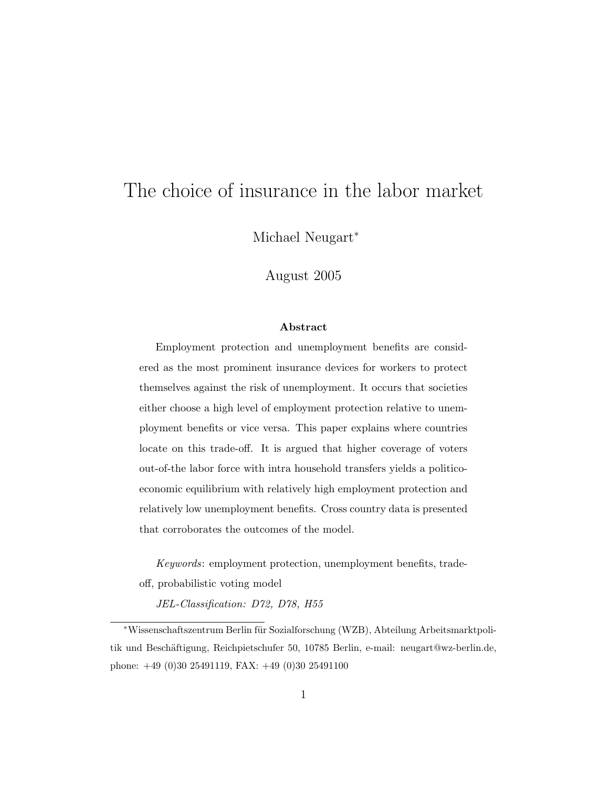# The choice of insurance in the labor market

Michael Neugart<sup>\*</sup>

August 2005

#### Abstract

Employment protection and unemployment benefits are considered as the most prominent insurance devices for workers to protect themselves against the risk of unemployment. It occurs that societies either choose a high level of employment protection relative to unemployment benefits or vice versa. This paper explains where countries locate on this trade-off. It is argued that higher coverage of voters out-of-the labor force with intra household transfers yields a politicoeconomic equilibrium with relatively high employment protection and relatively low unemployment benefits. Cross country data is presented that corroborates the outcomes of the model.

Keywords: employment protection, unemployment benefits, tradeoff, probabilistic voting model

JEL-Classification: D72, D78, H55

<sup>∗</sup>Wissenschaftszentrum Berlin f¨ur Sozialforschung (WZB), Abteilung Arbeitsmarktpolitik und Beschäftigung, Reichpietschufer 50, 10785 Berlin, e-mail: neugart@wz-berlin.de, phone: +49 (0)30 25491119, FAX: +49 (0)30 25491100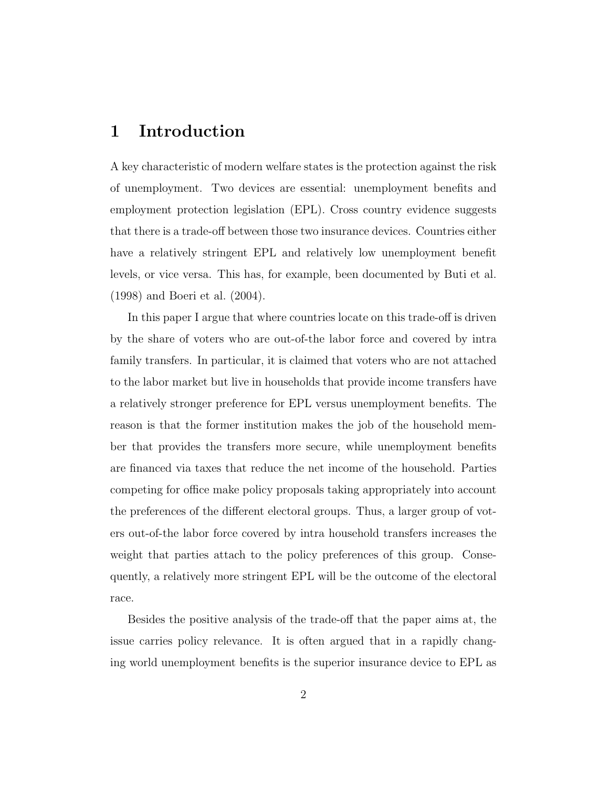#### 1 Introduction

A key characteristic of modern welfare states is the protection against the risk of unemployment. Two devices are essential: unemployment benefits and employment protection legislation (EPL). Cross country evidence suggests that there is a trade-off between those two insurance devices. Countries either have a relatively stringent EPL and relatively low unemployment benefit levels, or vice versa. This has, for example, been documented by Buti et al. (1998) and Boeri et al. (2004).

In this paper I argue that where countries locate on this trade-off is driven by the share of voters who are out-of-the labor force and covered by intra family transfers. In particular, it is claimed that voters who are not attached to the labor market but live in households that provide income transfers have a relatively stronger preference for EPL versus unemployment benefits. The reason is that the former institution makes the job of the household member that provides the transfers more secure, while unemployment benefits are financed via taxes that reduce the net income of the household. Parties competing for office make policy proposals taking appropriately into account the preferences of the different electoral groups. Thus, a larger group of voters out-of-the labor force covered by intra household transfers increases the weight that parties attach to the policy preferences of this group. Consequently, a relatively more stringent EPL will be the outcome of the electoral race.

Besides the positive analysis of the trade-off that the paper aims at, the issue carries policy relevance. It is often argued that in a rapidly changing world unemployment benefits is the superior insurance device to EPL as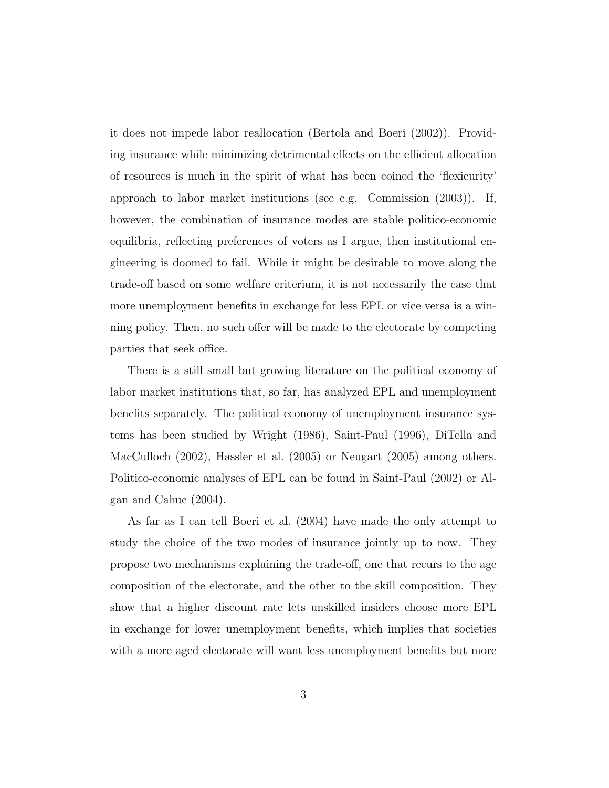it does not impede labor reallocation (Bertola and Boeri (2002)). Providing insurance while minimizing detrimental effects on the efficient allocation of resources is much in the spirit of what has been coined the 'flexicurity' approach to labor market institutions (see e.g. Commission (2003)). If, however, the combination of insurance modes are stable politico-economic equilibria, reflecting preferences of voters as I argue, then institutional engineering is doomed to fail. While it might be desirable to move along the trade-off based on some welfare criterium, it is not necessarily the case that more unemployment benefits in exchange for less EPL or vice versa is a winning policy. Then, no such offer will be made to the electorate by competing parties that seek office.

There is a still small but growing literature on the political economy of labor market institutions that, so far, has analyzed EPL and unemployment benefits separately. The political economy of unemployment insurance systems has been studied by Wright (1986), Saint-Paul (1996), DiTella and MacCulloch (2002), Hassler et al. (2005) or Neugart (2005) among others. Politico-economic analyses of EPL can be found in Saint-Paul (2002) or Algan and Cahuc (2004).

As far as I can tell Boeri et al. (2004) have made the only attempt to study the choice of the two modes of insurance jointly up to now. They propose two mechanisms explaining the trade-off, one that recurs to the age composition of the electorate, and the other to the skill composition. They show that a higher discount rate lets unskilled insiders choose more EPL in exchange for lower unemployment benefits, which implies that societies with a more aged electorate will want less unemployment benefits but more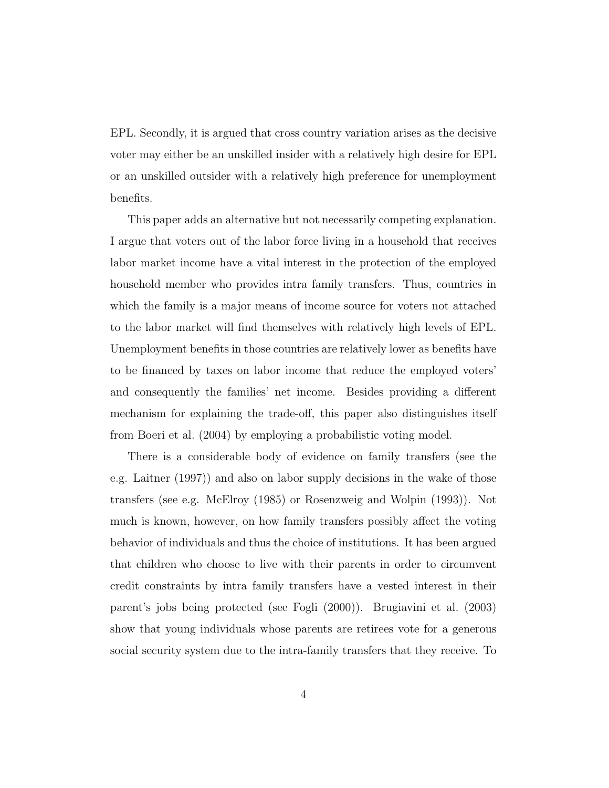EPL. Secondly, it is argued that cross country variation arises as the decisive voter may either be an unskilled insider with a relatively high desire for EPL or an unskilled outsider with a relatively high preference for unemployment benefits.

This paper adds an alternative but not necessarily competing explanation. I argue that voters out of the labor force living in a household that receives labor market income have a vital interest in the protection of the employed household member who provides intra family transfers. Thus, countries in which the family is a major means of income source for voters not attached to the labor market will find themselves with relatively high levels of EPL. Unemployment benefits in those countries are relatively lower as benefits have to be financed by taxes on labor income that reduce the employed voters' and consequently the families' net income. Besides providing a different mechanism for explaining the trade-off, this paper also distinguishes itself from Boeri et al. (2004) by employing a probabilistic voting model.

There is a considerable body of evidence on family transfers (see the e.g. Laitner (1997)) and also on labor supply decisions in the wake of those transfers (see e.g. McElroy (1985) or Rosenzweig and Wolpin (1993)). Not much is known, however, on how family transfers possibly affect the voting behavior of individuals and thus the choice of institutions. It has been argued that children who choose to live with their parents in order to circumvent credit constraints by intra family transfers have a vested interest in their parent's jobs being protected (see Fogli (2000)). Brugiavini et al. (2003) show that young individuals whose parents are retirees vote for a generous social security system due to the intra-family transfers that they receive. To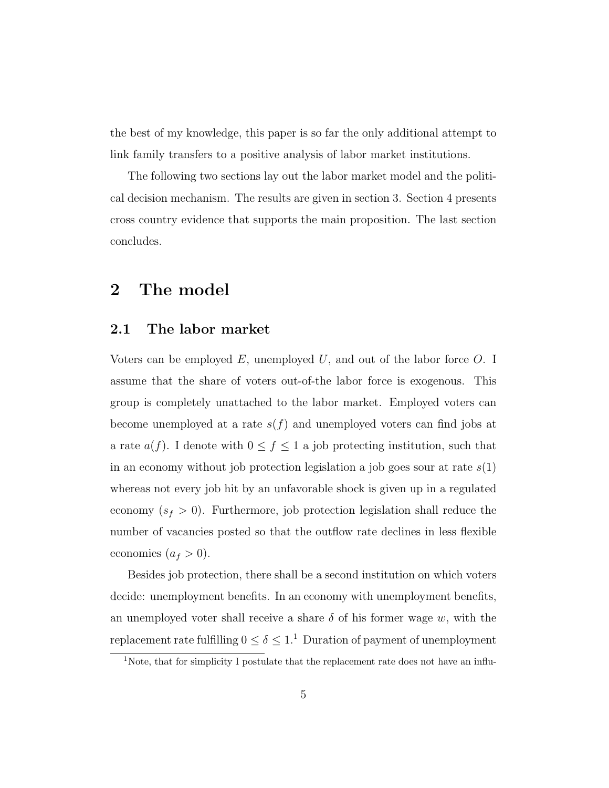the best of my knowledge, this paper is so far the only additional attempt to link family transfers to a positive analysis of labor market institutions.

The following two sections lay out the labor market model and the political decision mechanism. The results are given in section 3. Section 4 presents cross country evidence that supports the main proposition. The last section concludes.

#### 2 The model

#### 2.1 The labor market

Voters can be employed  $E$ , unemployed  $U$ , and out of the labor force  $O$ . I assume that the share of voters out-of-the labor force is exogenous. This group is completely unattached to the labor market. Employed voters can become unemployed at a rate  $s(f)$  and unemployed voters can find jobs at a rate  $a(f)$ . I denote with  $0 \le f \le 1$  a job protecting institution, such that in an economy without job protection legislation a job goes sour at rate  $s(1)$ whereas not every job hit by an unfavorable shock is given up in a regulated economy  $(s_f > 0)$ . Furthermore, job protection legislation shall reduce the number of vacancies posted so that the outflow rate declines in less flexible economies  $(a_f > 0)$ .

Besides job protection, there shall be a second institution on which voters decide: unemployment benefits. In an economy with unemployment benefits, an unemployed voter shall receive a share  $\delta$  of his former wage w, with the replacement rate fulfilling  $0\leq \delta \leq 1.^1\,$  Duration of payment of unemployment

<sup>&</sup>lt;sup>1</sup>Note, that for simplicity I postulate that the replacement rate does not have an influ-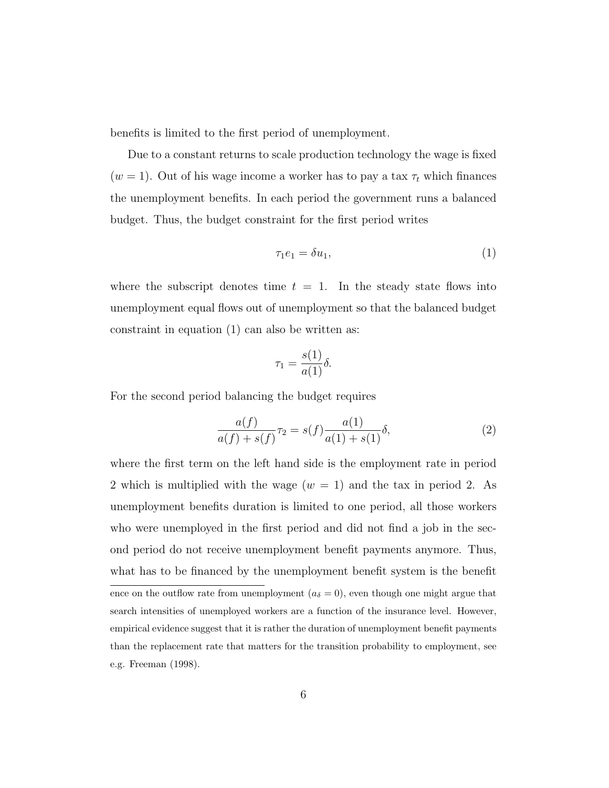benefits is limited to the first period of unemployment.

Due to a constant returns to scale production technology the wage is fixed ( $w = 1$ ). Out of his wage income a worker has to pay a tax  $\tau_t$  which finances the unemployment benefits. In each period the government runs a balanced budget. Thus, the budget constraint for the first period writes

$$
\tau_1 e_1 = \delta u_1,\tag{1}
$$

where the subscript denotes time  $t = 1$ . In the steady state flows into unemployment equal flows out of unemployment so that the balanced budget constraint in equation (1) can also be written as:

$$
\tau_1 = \frac{s(1)}{a(1)} \delta.
$$

For the second period balancing the budget requires

$$
\frac{a(f)}{a(f) + s(f)}\tau_2 = s(f)\frac{a(1)}{a(1) + s(1)}\delta,\tag{2}
$$

where the first term on the left hand side is the employment rate in period 2 which is multiplied with the wage  $(w = 1)$  and the tax in period 2. As unemployment benefits duration is limited to one period, all those workers who were unemployed in the first period and did not find a job in the second period do not receive unemployment benefit payments anymore. Thus, what has to be financed by the unemployment benefit system is the benefit ence on the outflow rate from unemployment  $(a<sub>\delta</sub> = 0)$ , even though one might argue that search intensities of unemployed workers are a function of the insurance level. However, empirical evidence suggest that it is rather the duration of unemployment benefit payments than the replacement rate that matters for the transition probability to employment, see e.g. Freeman (1998).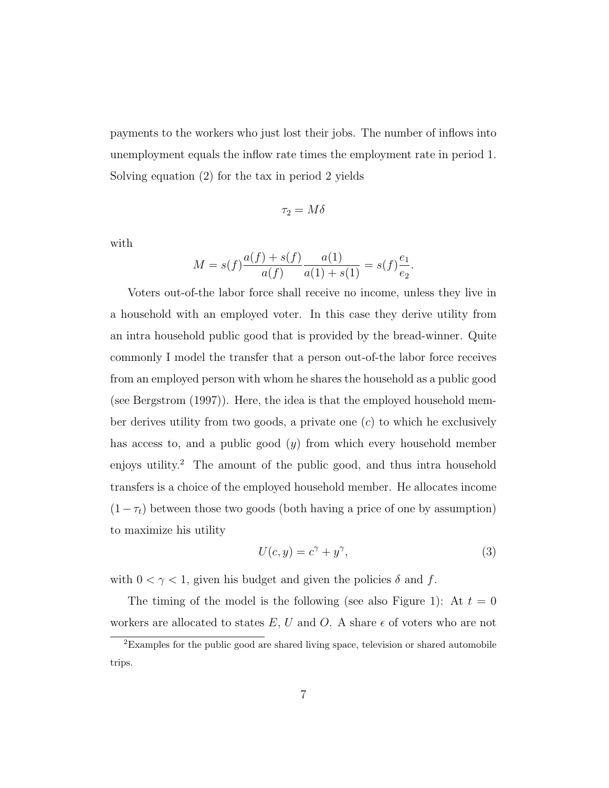payments to the workers who just lost their jobs. The number of inflows into unemployment equals the inflow rate times the employment rate in period 1. Solving equation (2) for the tax in period 2 yields

$$
\tau_2 = M\delta
$$

with

$$
M = s(f)\frac{a(f) + s(f)}{a(f)}\frac{a(1)}{a(1) + s(1)} = s(f)\frac{e_1}{e_2}.
$$

Voters out-of-the labor force shall receive no income, unless they live in a household with an employed voter. In this case they derive utility from an intra household public good that is provided by the bread-winner. Quite commonly I model the transfer that a person out-of-the labor force receives from an employed person with whom he shares the household as a public good (see Bergstrom (1997)). Here, the idea is that the employed household member derives utility from two goods, a private one  $(c)$  to which he exclusively has access to, and a public good  $(y)$  from which every household member enjoys utility.<sup>2</sup> The amount of the public good, and thus intra household transfers is a choice of the employed household member. He allocates income  $(1-\tau_t)$  between those two goods (both having a price of one by assumption) to maximize his utility

$$
U(c, y) = c^{\gamma} + y^{\gamma},\tag{3}
$$

with  $0<\gamma<1,$  given his budget and given the policies  $\delta$  and  $f.$ 

The timing of the model is the following (see also Figure 1): At  $t = 0$ workers are allocated to states  $E, U$  and  $O$ . A share  $\epsilon$  of voters who are not

<sup>2</sup>Examples for the public good are shared living space, television or shared automobile trips.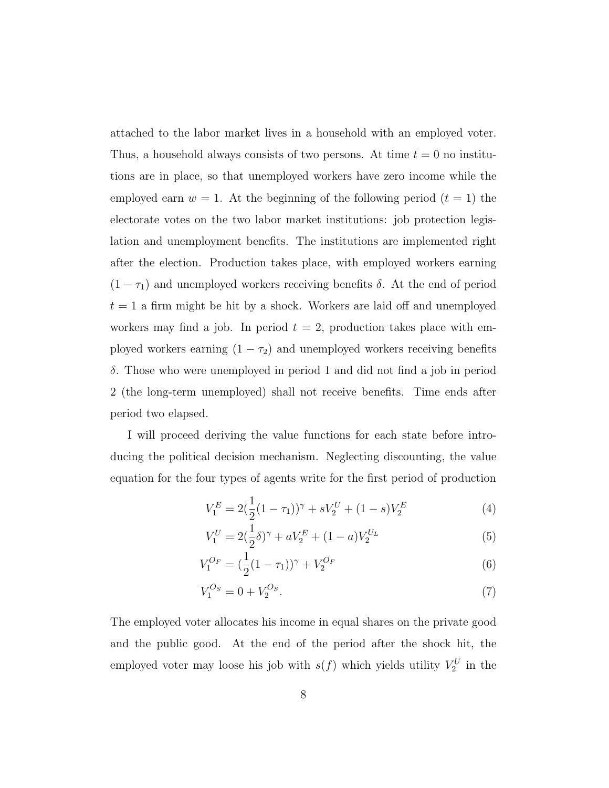attached to the labor market lives in a household with an employed voter. Thus, a household always consists of two persons. At time  $t = 0$  no institutions are in place, so that unemployed workers have zero income while the employed earn  $w = 1$ . At the beginning of the following period  $(t = 1)$  the electorate votes on the two labor market institutions: job protection legislation and unemployment benefits. The institutions are implemented right after the election. Production takes place, with employed workers earning  $(1 - \tau_1)$  and unemployed workers receiving benefits  $\delta$ . At the end of period  $t = 1$  a firm might be hit by a shock. Workers are laid off and unemployed workers may find a job. In period  $t = 2$ , production takes place with employed workers earning  $(1 - \tau_2)$  and unemployed workers receiving benefits δ. Those who were unemployed in period 1 and did not find a job in period 2 (the long-term unemployed) shall not receive benefits. Time ends after period two elapsed.

I will proceed deriving the value functions for each state before introducing the political decision mechanism. Neglecting discounting, the value equation for the four types of agents write for the first period of production

$$
V_1^E = 2(\frac{1}{2}(1 - \tau_1))^{\gamma} + sV_2^U + (1 - s)V_2^E \tag{4}
$$

$$
V_1^U = 2(\frac{1}{2}\delta)^\gamma + aV_2^E + (1 - a)V_2^{U_L}
$$
\n(5)

$$
V_1^{O_F} = \left(\frac{1}{2}(1-\tau_1)\right)^{\gamma} + V_2^{O_F} \tag{6}
$$

$$
V_1^{O_S} = 0 + V_2^{O_S}.\tag{7}
$$

The employed voter allocates his income in equal shares on the private good and the public good. At the end of the period after the shock hit, the employed voter may loose his job with  $s(f)$  which yields utility  $V_2^U$  in the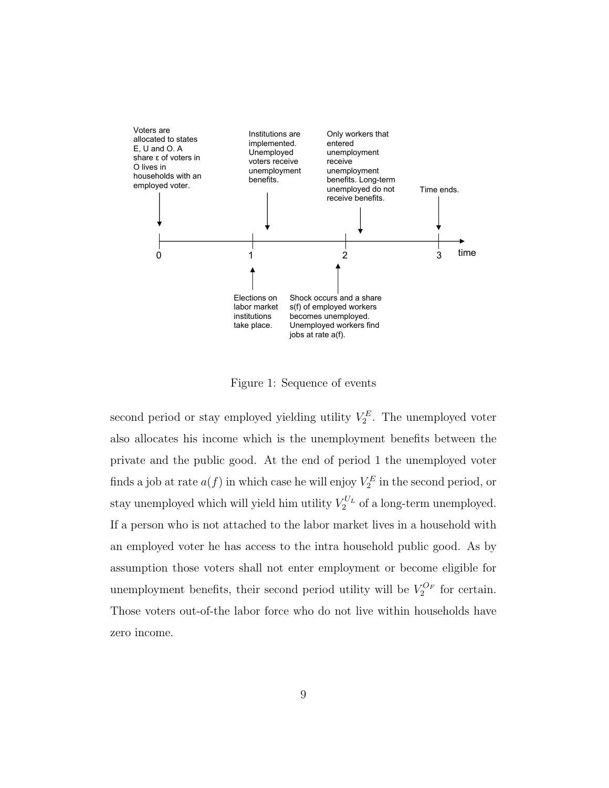

Figure 1: Sequence of events

second period or stay employed yielding utility  $V_2^E$ . The unemployed voter also allocates his income which is the unemployment benefits between the private and the public good. At the end of period 1 the unemployed voter finds a job at rate  $a(f)$  in which case he will enjoy  $V_2^E$  in the second period, or stay unemployed which will yield him utility  $V_2^{U_L}$  of a long-term unemployed. If a person who is not attached to the labor market lives in a household with an employed voter he has access to the intra household public good. As by assumption those voters shall not enter employment or become eligible for unemployment benefits, their second period utility will be  $V_2^{O_F}$  for certain. Those voters out-of-the labor force who do not live within households have zero income.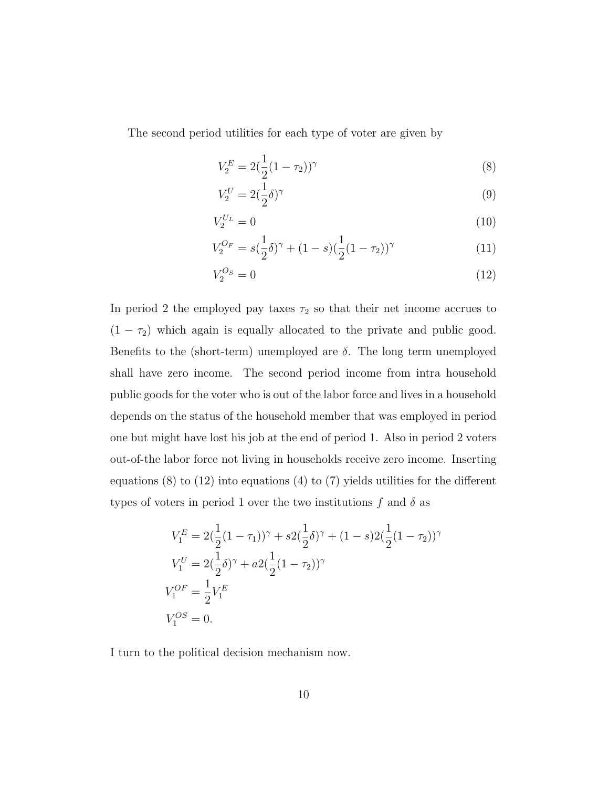The second period utilities for each type of voter are given by

$$
V_2^E = 2(\frac{1}{2}(1-\tau_2))^{\gamma}
$$
\n(8)

$$
V_2^U = 2(\frac{1}{2}\delta)^\gamma \tag{9}
$$

$$
V_2^{U_L} = 0 \tag{10}
$$

$$
V_2^{O_F} = s(\frac{1}{2}\delta)^\gamma + (1-s)(\frac{1}{2}(1-\tau_2))^\gamma \tag{11}
$$

$$
V_2^{Os} = 0 \tag{12}
$$

In period 2 the employed pay taxes  $\tau_2$  so that their net income accrues to  $(1 - \tau_2)$  which again is equally allocated to the private and public good. Benefits to the (short-term) unemployed are  $\delta$ . The long term unemployed shall have zero income. The second period income from intra household public goods for the voter who is out of the labor force and lives in a household depends on the status of the household member that was employed in period one but might have lost his job at the end of period 1. Also in period 2 voters out-of-the labor force not living in households receive zero income. Inserting equations (8) to (12) into equations (4) to (7) yields utilities for the different types of voters in period 1 over the two institutions f and  $\delta$  as

$$
V_1^E = 2(\frac{1}{2}(1-\tau_1))^{\gamma} + s2(\frac{1}{2}\delta)^{\gamma} + (1-s)2(\frac{1}{2}(1-\tau_2))^{\gamma}
$$
  
\n
$$
V_1^U = 2(\frac{1}{2}\delta)^{\gamma} + a2(\frac{1}{2}(1-\tau_2))^{\gamma}
$$
  
\n
$$
V_1^{OF} = \frac{1}{2}V_1^E
$$
  
\n
$$
V_1^{OS} = 0.
$$

I turn to the political decision mechanism now.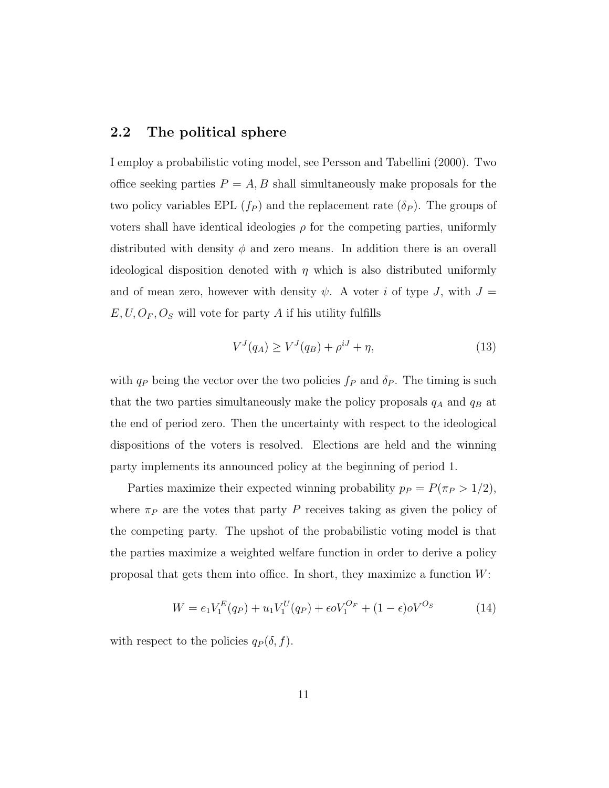#### 2.2 The political sphere

I employ a probabilistic voting model, see Persson and Tabellini (2000). Two office seeking parties  $P = A, B$  shall simultaneously make proposals for the two policy variables EPL  $(f_P)$  and the replacement rate  $(\delta_P)$ . The groups of voters shall have identical ideologies  $\rho$  for the competing parties, uniformly distributed with density  $\phi$  and zero means. In addition there is an overall ideological disposition denoted with  $\eta$  which is also distributed uniformly and of mean zero, however with density  $\psi$ . A voter i of type J, with  $J =$  $E, U, O<sub>F</sub>, O<sub>S</sub>$  will vote for party A if his utility fulfills

$$
V^{J}(q_{A}) \ge V^{J}(q_{B}) + \rho^{iJ} + \eta,
$$
\n(13)

with  $q_P$  being the vector over the two policies  $f_P$  and  $\delta_P$ . The timing is such that the two parties simultaneously make the policy proposals  $q_A$  and  $q_B$  at the end of period zero. Then the uncertainty with respect to the ideological dispositions of the voters is resolved. Elections are held and the winning party implements its announced policy at the beginning of period 1.

Parties maximize their expected winning probability  $p_P = P(\pi_P > 1/2)$ , where  $\pi_P$  are the votes that party P receives taking as given the policy of the competing party. The upshot of the probabilistic voting model is that the parties maximize a weighted welfare function in order to derive a policy proposal that gets them into office. In short, they maximize a function W:

$$
W = e_1 V_1^E(q_P) + u_1 V_1^U(q_P) + \epsilon o V_1^{O_F} + (1 - \epsilon) o V^{O_S}
$$
 (14)

with respect to the policies  $q_P(\delta, f)$ .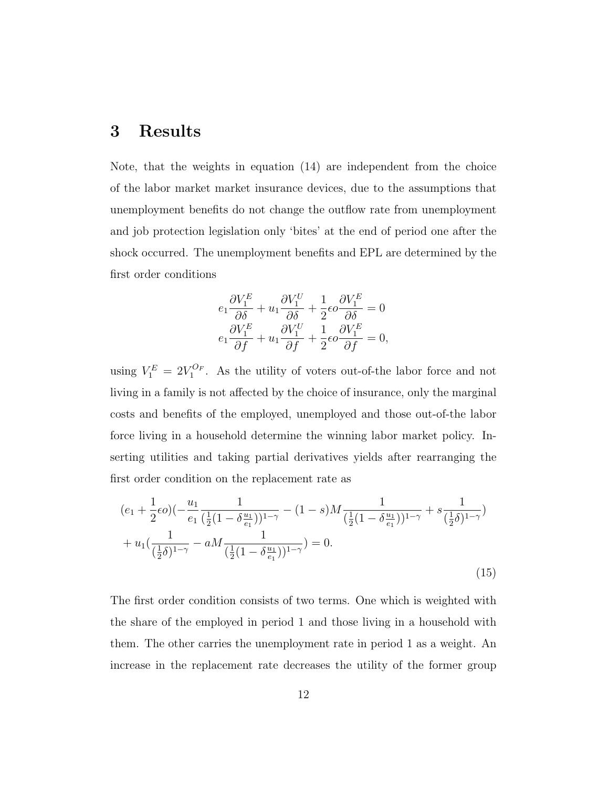#### 3 Results

Note, that the weights in equation (14) are independent from the choice of the labor market market insurance devices, due to the assumptions that unemployment benefits do not change the outflow rate from unemployment and job protection legislation only 'bites' at the end of period one after the shock occurred. The unemployment benefits and EPL are determined by the first order conditions

$$
e_1 \frac{\partial V_1^E}{\partial \delta} + u_1 \frac{\partial V_1^U}{\partial \delta} + \frac{1}{2} \epsilon \sigma \frac{\partial V_1^E}{\partial \delta} = 0
$$
  

$$
e_1 \frac{\partial V_1^E}{\partial f} + u_1 \frac{\partial V_1^U}{\partial f} + \frac{1}{2} \epsilon \sigma \frac{\partial V_1^E}{\partial f} = 0,
$$

using  $V_1^E = 2V_1^{O_F}$ . As the utility of voters out-of-the labor force and not living in a family is not affected by the choice of insurance, only the marginal costs and benefits of the employed, unemployed and those out-of-the labor force living in a household determine the winning labor market policy. Inserting utilities and taking partial derivatives yields after rearranging the first order condition on the replacement rate as

$$
(e_1 + \frac{1}{2}\epsilon o)(-\frac{u_1}{e_1} \frac{1}{(\frac{1}{2}(1 - \delta \frac{u_1}{e_1}))^{1-\gamma}} - (1 - s)M \frac{1}{(\frac{1}{2}(1 - \delta \frac{u_1}{e_1}))^{1-\gamma}} + s \frac{1}{(\frac{1}{2}\delta)^{1-\gamma}})
$$
  
+  $u_1(\frac{1}{(\frac{1}{2}\delta)^{1-\gamma}} - aM \frac{1}{(\frac{1}{2}(1 - \delta \frac{u_1}{e_1}))^{1-\gamma}}) = 0.$  (15)

The first order condition consists of two terms. One which is weighted with the share of the employed in period 1 and those living in a household with them. The other carries the unemployment rate in period 1 as a weight. An increase in the replacement rate decreases the utility of the former group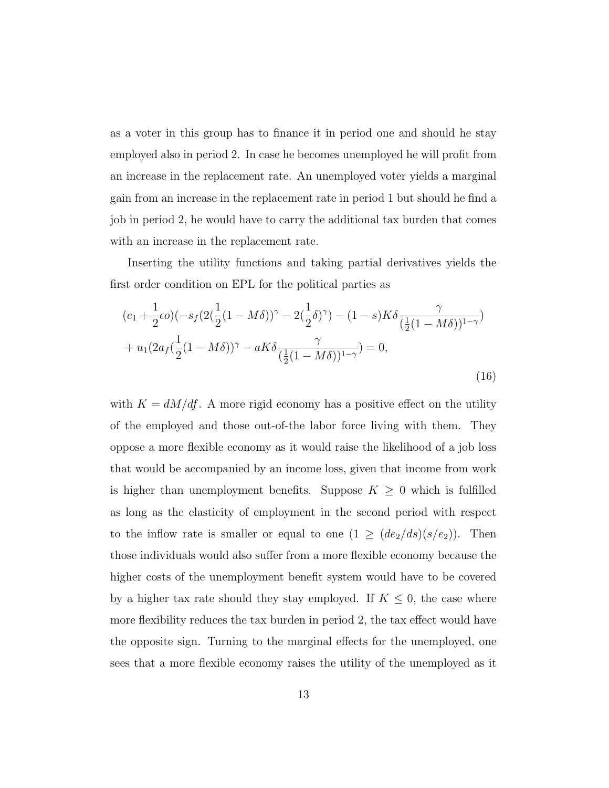as a voter in this group has to finance it in period one and should he stay employed also in period 2. In case he becomes unemployed he will profit from an increase in the replacement rate. An unemployed voter yields a marginal gain from an increase in the replacement rate in period 1 but should he find a job in period 2, he would have to carry the additional tax burden that comes with an increase in the replacement rate.

Inserting the utility functions and taking partial derivatives yields the first order condition on EPL for the political parties as

$$
(e_1 + \frac{1}{2}\epsilon o)(-s_f(2(\frac{1}{2}(1 - M\delta))^{\gamma} - 2(\frac{1}{2}\delta)^{\gamma}) - (1 - s)K\delta \frac{\gamma}{(\frac{1}{2}(1 - M\delta))^{1-\gamma}}) + u_1(2a_f(\frac{1}{2}(1 - M\delta))^{\gamma} - aK\delta \frac{\gamma}{(\frac{1}{2}(1 - M\delta))^{1-\gamma}}) = 0,
$$
\n(16)

with  $K = dM/df$ . A more rigid economy has a positive effect on the utility of the employed and those out-of-the labor force living with them. They oppose a more flexible economy as it would raise the likelihood of a job loss that would be accompanied by an income loss, given that income from work is higher than unemployment benefits. Suppose  $K \geq 0$  which is fulfilled as long as the elasticity of employment in the second period with respect to the inflow rate is smaller or equal to one  $(1 \geq (de_2/ds)(s/e_2))$ . Then those individuals would also suffer from a more flexible economy because the higher costs of the unemployment benefit system would have to be covered by a higher tax rate should they stay employed. If  $K \leq 0$ , the case where more flexibility reduces the tax burden in period 2, the tax effect would have the opposite sign. Turning to the marginal effects for the unemployed, one sees that a more flexible economy raises the utility of the unemployed as it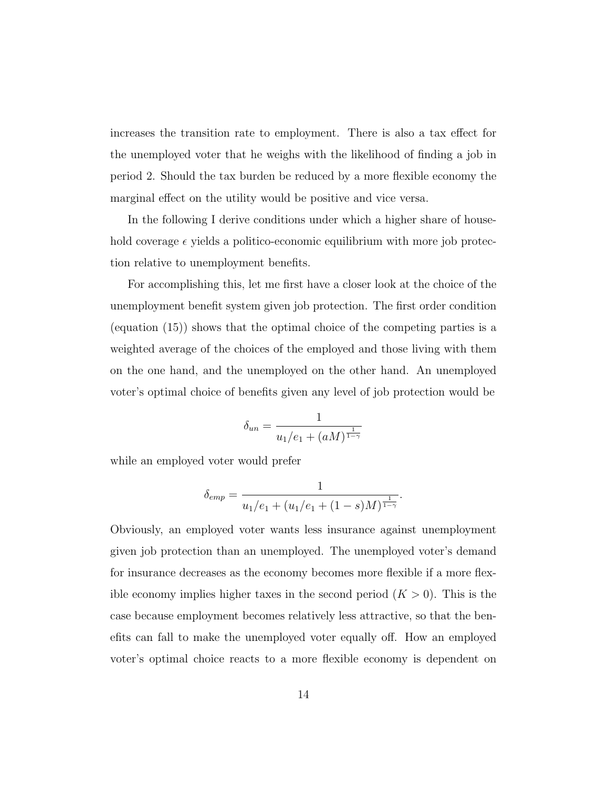increases the transition rate to employment. There is also a tax effect for the unemployed voter that he weighs with the likelihood of finding a job in period 2. Should the tax burden be reduced by a more flexible economy the marginal effect on the utility would be positive and vice versa.

In the following I derive conditions under which a higher share of household coverage  $\epsilon$  yields a politico-economic equilibrium with more job protection relative to unemployment benefits.

For accomplishing this, let me first have a closer look at the choice of the unemployment benefit system given job protection. The first order condition (equation (15)) shows that the optimal choice of the competing parties is a weighted average of the choices of the employed and those living with them on the one hand, and the unemployed on the other hand. An unemployed voter's optimal choice of benefits given any level of job protection would be

$$
\delta_{un} = \frac{1}{u_1/e_1 + (aM)^{\frac{1}{1-\gamma}}}
$$

while an employed voter would prefer

$$
\delta_{emp} = \frac{1}{u_1/e_1 + (u_1/e_1 + (1-s)M)^{\frac{1}{1-\gamma}}}.
$$

Obviously, an employed voter wants less insurance against unemployment given job protection than an unemployed. The unemployed voter's demand for insurance decreases as the economy becomes more flexible if a more flexible economy implies higher taxes in the second period  $(K > 0)$ . This is the case because employment becomes relatively less attractive, so that the benefits can fall to make the unemployed voter equally off. How an employed voter's optimal choice reacts to a more flexible economy is dependent on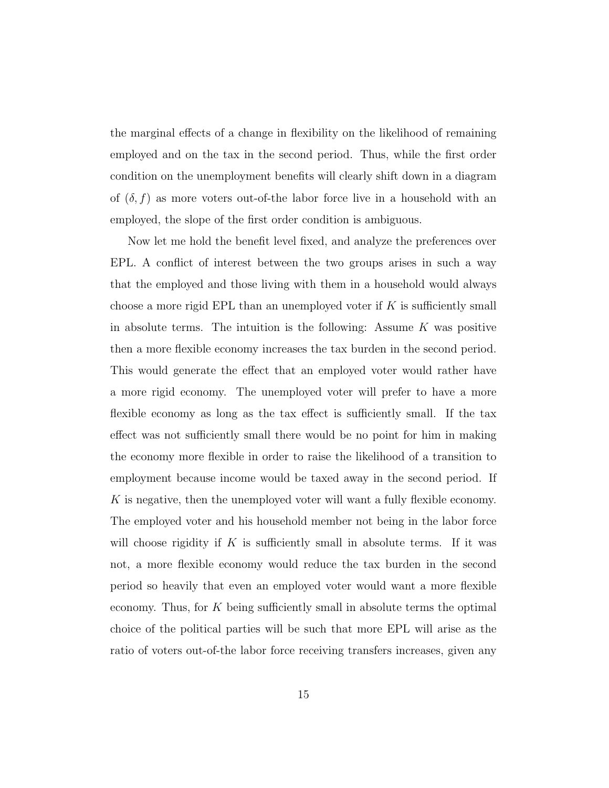the marginal effects of a change in flexibility on the likelihood of remaining employed and on the tax in the second period. Thus, while the first order condition on the unemployment benefits will clearly shift down in a diagram of  $(\delta, f)$  as more voters out-of-the labor force live in a household with an employed, the slope of the first order condition is ambiguous.

Now let me hold the benefit level fixed, and analyze the preferences over EPL. A conflict of interest between the two groups arises in such a way that the employed and those living with them in a household would always choose a more rigid EPL than an unemployed voter if  $K$  is sufficiently small in absolute terms. The intuition is the following: Assume  $K$  was positive then a more flexible economy increases the tax burden in the second period. This would generate the effect that an employed voter would rather have a more rigid economy. The unemployed voter will prefer to have a more flexible economy as long as the tax effect is sufficiently small. If the tax effect was not sufficiently small there would be no point for him in making the economy more flexible in order to raise the likelihood of a transition to employment because income would be taxed away in the second period. If K is negative, then the unemployed voter will want a fully flexible economy. The employed voter and his household member not being in the labor force will choose rigidity if K is sufficiently small in absolute terms. If it was not, a more flexible economy would reduce the tax burden in the second period so heavily that even an employed voter would want a more flexible economy. Thus, for  $K$  being sufficiently small in absolute terms the optimal choice of the political parties will be such that more EPL will arise as the ratio of voters out-of-the labor force receiving transfers increases, given any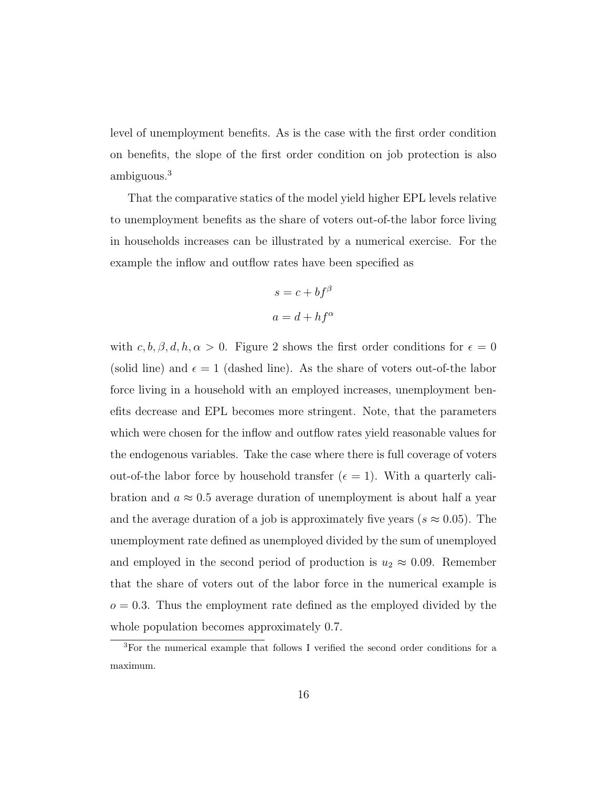level of unemployment benefits. As is the case with the first order condition on benefits, the slope of the first order condition on job protection is also ambiguous.<sup>3</sup>

That the comparative statics of the model yield higher EPL levels relative to unemployment benefits as the share of voters out-of-the labor force living in households increases can be illustrated by a numerical exercise. For the example the inflow and outflow rates have been specified as

$$
s = c + bf^{\beta}
$$

$$
a = d + hf^{\alpha}
$$

with  $c, b, \beta, d, h, \alpha > 0$ . Figure 2 shows the first order conditions for  $\epsilon = 0$ (solid line) and  $\epsilon = 1$  (dashed line). As the share of voters out-of-the labor force living in a household with an employed increases, unemployment benefits decrease and EPL becomes more stringent. Note, that the parameters which were chosen for the inflow and outflow rates yield reasonable values for the endogenous variables. Take the case where there is full coverage of voters out-of-the labor force by household transfer  $(\epsilon = 1)$ . With a quarterly calibration and  $a \approx 0.5$  average duration of unemployment is about half a year and the average duration of a job is approximately five years ( $s \approx 0.05$ ). The unemployment rate defined as unemployed divided by the sum of unemployed and employed in the second period of production is  $u_2 \approx 0.09$ . Remember that the share of voters out of the labor force in the numerical example is  $o = 0.3$ . Thus the employment rate defined as the employed divided by the whole population becomes approximately 0.7.

<sup>3</sup>For the numerical example that follows I verified the second order conditions for a maximum.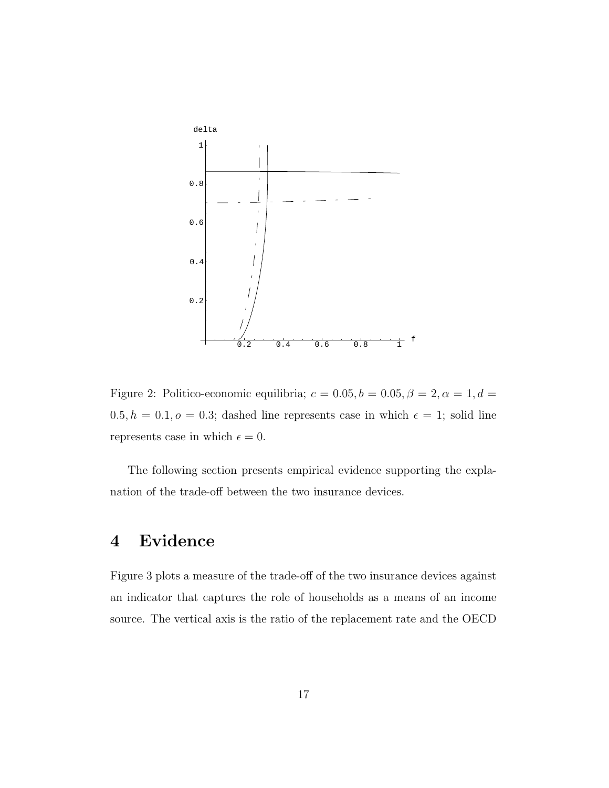

Figure 2: Politico-economic equilibria;  $c = 0.05, b = 0.05, \beta = 2, \alpha = 1, d =$  $0.5, h = 0.1, o = 0.3$ ; dashed line represents case in which  $\epsilon = 1$ ; solid line represents case in which  $\epsilon = 0$ .

The following section presents empirical evidence supporting the explanation of the trade-off between the two insurance devices.

## 4 Evidence

Figure 3 plots a measure of the trade-off of the two insurance devices against an indicator that captures the role of households as a means of an income source. The vertical axis is the ratio of the replacement rate and the OECD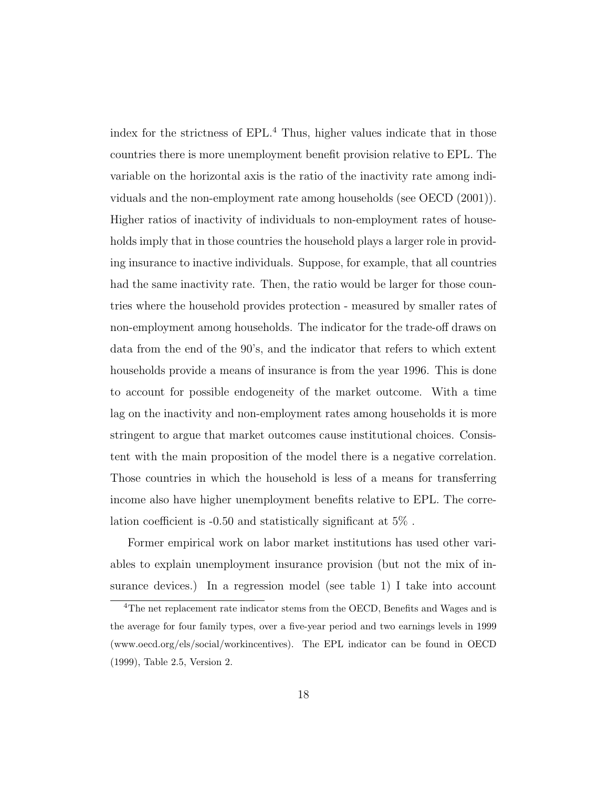index for the strictness of EPL.<sup>4</sup> Thus, higher values indicate that in those countries there is more unemployment benefit provision relative to EPL. The variable on the horizontal axis is the ratio of the inactivity rate among individuals and the non-employment rate among households (see OECD (2001)). Higher ratios of inactivity of individuals to non-employment rates of households imply that in those countries the household plays a larger role in providing insurance to inactive individuals. Suppose, for example, that all countries had the same inactivity rate. Then, the ratio would be larger for those countries where the household provides protection - measured by smaller rates of non-employment among households. The indicator for the trade-off draws on data from the end of the 90's, and the indicator that refers to which extent households provide a means of insurance is from the year 1996. This is done to account for possible endogeneity of the market outcome. With a time lag on the inactivity and non-employment rates among households it is more stringent to argue that market outcomes cause institutional choices. Consistent with the main proposition of the model there is a negative correlation. Those countries in which the household is less of a means for transferring income also have higher unemployment benefits relative to EPL. The correlation coefficient is -0.50 and statistically significant at 5% .

Former empirical work on labor market institutions has used other variables to explain unemployment insurance provision (but not the mix of insurance devices.) In a regression model (see table 1) I take into account

<sup>&</sup>lt;sup>4</sup>The net replacement rate indicator stems from the OECD, Benefits and Wages and is the average for four family types, over a five-year period and two earnings levels in 1999 (www.oecd.org/els/social/workincentives). The EPL indicator can be found in OECD (1999), Table 2.5, Version 2.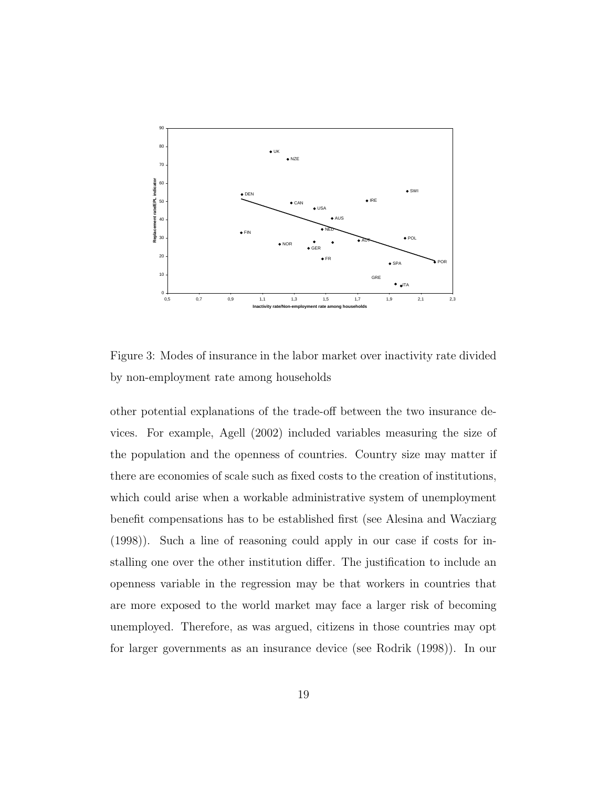

Figure 3: Modes of insurance in the labor market over inactivity rate divided by non-employment rate among households

other potential explanations of the trade-off between the two insurance devices. For example, Agell (2002) included variables measuring the size of the population and the openness of countries. Country size may matter if there are economies of scale such as fixed costs to the creation of institutions, which could arise when a workable administrative system of unemployment benefit compensations has to be established first (see Alesina and Wacziarg (1998)). Such a line of reasoning could apply in our case if costs for installing one over the other institution differ. The justification to include an openness variable in the regression may be that workers in countries that are more exposed to the world market may face a larger risk of becoming unemployed. Therefore, as was argued, citizens in those countries may opt for larger governments as an insurance device (see Rodrik (1998)). In our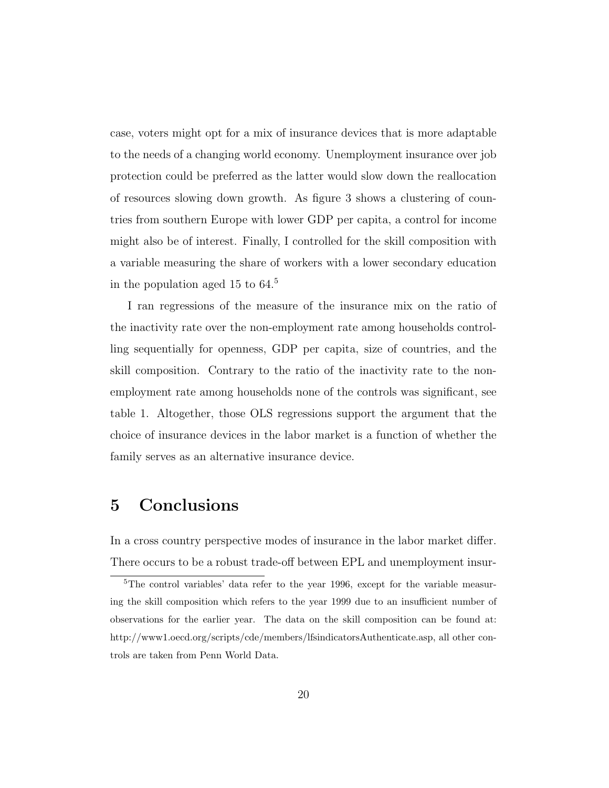case, voters might opt for a mix of insurance devices that is more adaptable to the needs of a changing world economy. Unemployment insurance over job protection could be preferred as the latter would slow down the reallocation of resources slowing down growth. As figure 3 shows a clustering of countries from southern Europe with lower GDP per capita, a control for income might also be of interest. Finally, I controlled for the skill composition with a variable measuring the share of workers with a lower secondary education in the population aged 15 to 64.<sup>5</sup>

I ran regressions of the measure of the insurance mix on the ratio of the inactivity rate over the non-employment rate among households controlling sequentially for openness, GDP per capita, size of countries, and the skill composition. Contrary to the ratio of the inactivity rate to the nonemployment rate among households none of the controls was significant, see table 1. Altogether, those OLS regressions support the argument that the choice of insurance devices in the labor market is a function of whether the family serves as an alternative insurance device.

### 5 Conclusions

In a cross country perspective modes of insurance in the labor market differ. There occurs to be a robust trade-off between EPL and unemployment insur-

<sup>5</sup>The control variables' data refer to the year 1996, except for the variable measuring the skill composition which refers to the year 1999 due to an insufficient number of observations for the earlier year. The data on the skill composition can be found at: http://www1.oecd.org/scripts/cde/members/lfsindicatorsAuthenticate.asp, all other controls are taken from Penn World Data.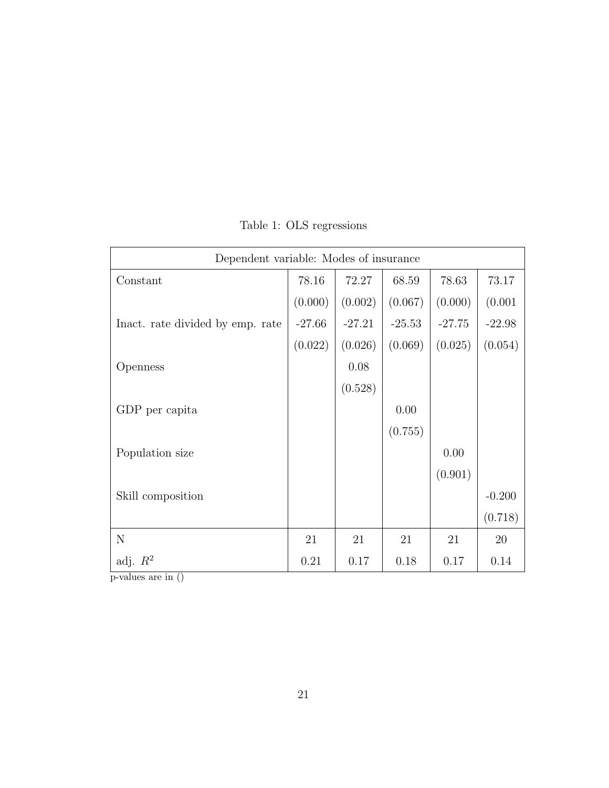| Dependent variable: Modes of insurance |          |          |          |          |          |
|----------------------------------------|----------|----------|----------|----------|----------|
| Constant                               | 78.16    | 72.27    | 68.59    | 78.63    | 73.17    |
|                                        | (0.000)  | (0.002)  | (0.067)  | (0.000)  | (0.001)  |
| Inact. rate divided by emp. rate       | $-27.66$ | $-27.21$ | $-25.53$ | $-27.75$ | $-22.98$ |
|                                        | (0.022)  | (0.026)  | (0.069)  | (0.025)  | (0.054)  |
| Openness                               |          | 0.08     |          |          |          |
|                                        |          | (0.528)  |          |          |          |
| GDP per capita                         |          |          | 0.00     |          |          |
|                                        |          |          | (0.755)  |          |          |
| Population size                        |          |          |          | 0.00     |          |
|                                        |          |          |          | (0.901)  |          |
| Skill composition                      |          |          |          |          | $-0.200$ |
|                                        |          |          |          |          | (0.718)  |
| $\mathbf N$                            | 21       | 21       | 21       | 21       | 20       |
| adj. $R^2$                             | 0.21     | 0.17     | 0.18     | 0.17     | 0.14     |

Table 1: OLS regressions

p-values are in ()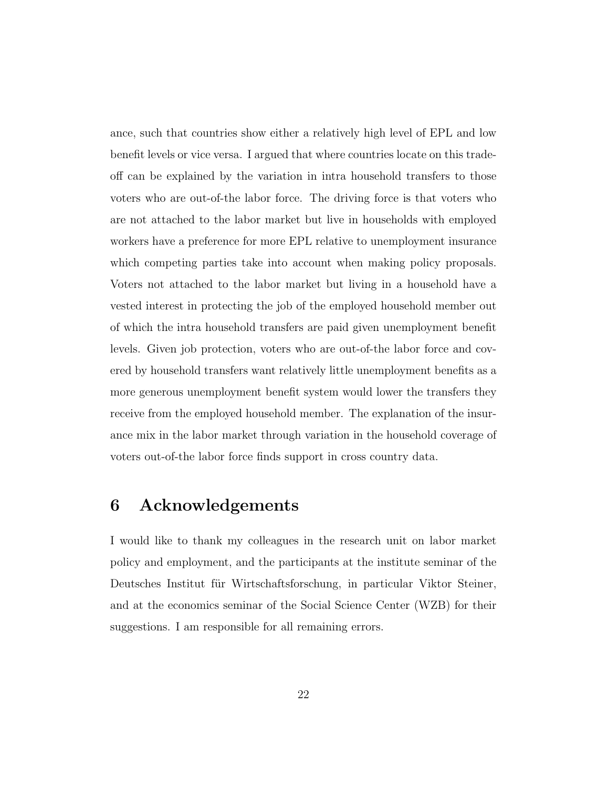ance, such that countries show either a relatively high level of EPL and low benefit levels or vice versa. I argued that where countries locate on this tradeoff can be explained by the variation in intra household transfers to those voters who are out-of-the labor force. The driving force is that voters who are not attached to the labor market but live in households with employed workers have a preference for more EPL relative to unemployment insurance which competing parties take into account when making policy proposals. Voters not attached to the labor market but living in a household have a vested interest in protecting the job of the employed household member out of which the intra household transfers are paid given unemployment benefit levels. Given job protection, voters who are out-of-the labor force and covered by household transfers want relatively little unemployment benefits as a more generous unemployment benefit system would lower the transfers they receive from the employed household member. The explanation of the insurance mix in the labor market through variation in the household coverage of voters out-of-the labor force finds support in cross country data.

### 6 Acknowledgements

I would like to thank my colleagues in the research unit on labor market policy and employment, and the participants at the institute seminar of the Deutsches Institut für Wirtschaftsforschung, in particular Viktor Steiner, and at the economics seminar of the Social Science Center (WZB) for their suggestions. I am responsible for all remaining errors.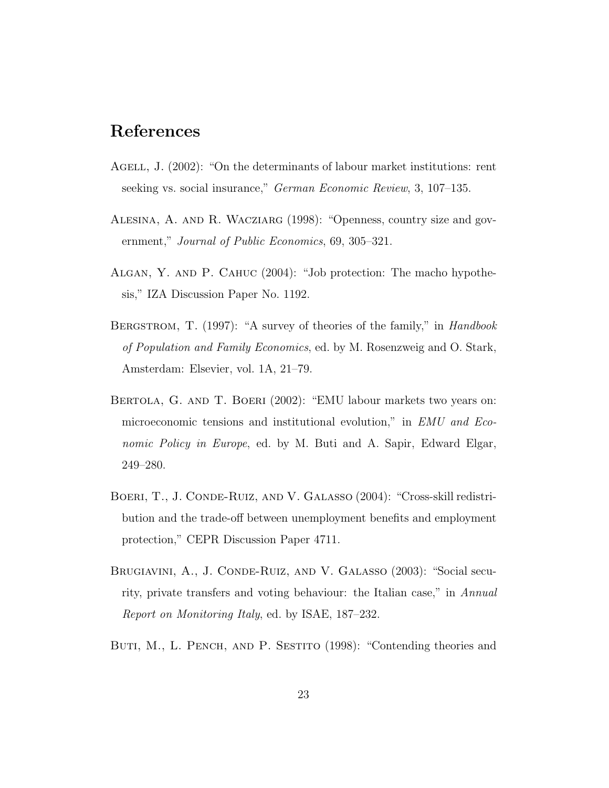## References

- AGELL, J. (2002): "On the determinants of labour market institutions: rent seeking vs. social insurance," *German Economic Review*, 3, 107–135.
- Alesina, A. and R. Wacziarg (1998): "Openness, country size and government," Journal of Public Economics, 69, 305–321.
- Algan, Y. and P. Cahuc (2004): "Job protection: The macho hypothesis," IZA Discussion Paper No. 1192.
- BERGSTROM, T. (1997): "A survey of theories of the family," in Handbook of Population and Family Economics, ed. by M. Rosenzweig and O. Stark, Amsterdam: Elsevier, vol. 1A, 21–79.
- BERTOLA, G. AND T. BOERI (2002): "EMU labour markets two years on: microeconomic tensions and institutional evolution," in EMU and Economic Policy in Europe, ed. by M. Buti and A. Sapir, Edward Elgar, 249–280.
- Boeri, T., J. Conde-Ruiz, and V. Galasso (2004): "Cross-skill redistribution and the trade-off between unemployment benefits and employment protection," CEPR Discussion Paper 4711.
- Brugiavini, A., J. Conde-Ruiz, and V. Galasso (2003): "Social security, private transfers and voting behaviour: the Italian case," in Annual Report on Monitoring Italy, ed. by ISAE, 187–232.
- BUTI, M., L. PENCH, AND P. SESTITO (1998): "Contending theories and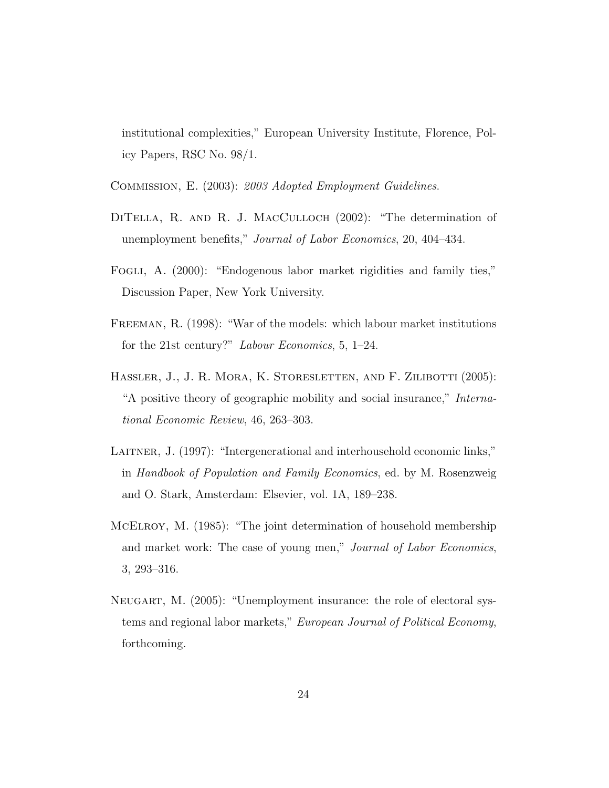institutional complexities," European University Institute, Florence, Policy Papers, RSC No. 98/1.

Commission, E. (2003): 2003 Adopted Employment Guidelines.

- DITELLA, R. AND R. J. MACCULLOCH (2002): "The determination of unemployment benefits," Journal of Labor Economics, 20, 404–434.
- FOGLI, A. (2000): "Endogenous labor market rigidities and family ties," Discussion Paper, New York University.
- Freeman, R. (1998): "War of the models: which labour market institutions for the 21st century?" Labour Economics, 5, 1–24.
- HASSLER, J., J. R. MORA, K. STORESLETTEN, AND F. ZILIBOTTI (2005): "A positive theory of geographic mobility and social insurance," International Economic Review, 46, 263–303.
- Laitner, J. (1997): "Intergenerational and interhousehold economic links," in Handbook of Population and Family Economics, ed. by M. Rosenzweig and O. Stark, Amsterdam: Elsevier, vol. 1A, 189–238.
- McElroy, M. (1985): "The joint determination of household membership and market work: The case of young men," Journal of Labor Economics, 3, 293–316.
- Neugart, M. (2005): "Unemployment insurance: the role of electoral systems and regional labor markets," European Journal of Political Economy, forthcoming.